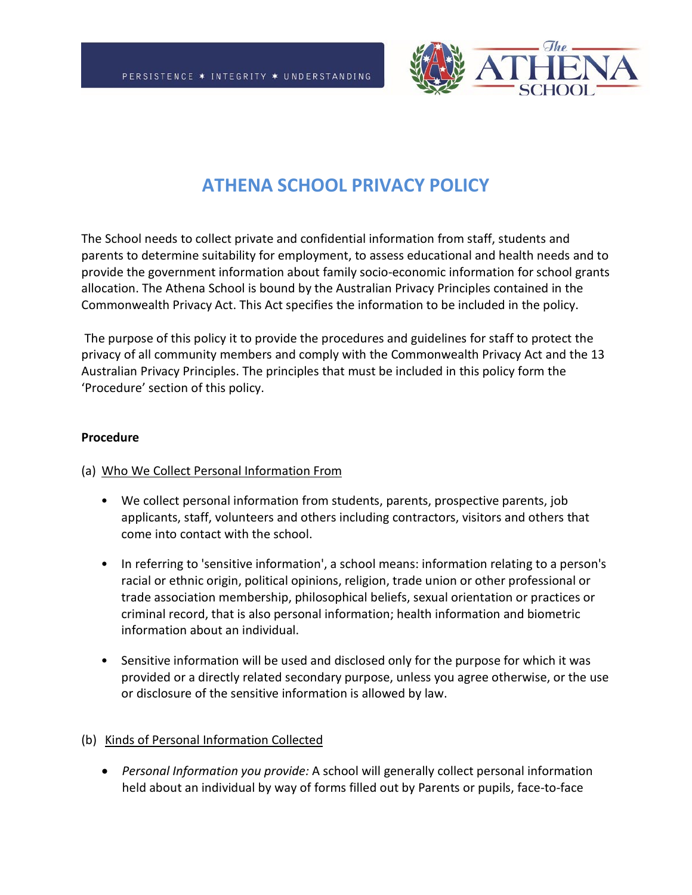

# **ATHENA SCHOOL PRIVACY POLICY**

The School needs to collect private and confidential information from staff, students and parents to determine suitability for employment, to assess educational and health needs and to provide the government information about family socio-economic information for school grants allocation. The Athena School is bound by the Australian Privacy Principles contained in the Commonwealth Privacy Act. This Act specifies the information to be included in the policy.

The purpose of this policy it to provide the procedures and guidelines for staff to protect the privacy of all community members and comply with the Commonwealth Privacy Act and the 13 Australian Privacy Principles. The principles that must be included in this policy form the 'Procedure' section of this policy.

#### **Procedure**

## (a) Who We Collect Personal Information From

- We collect personal information from students, parents, prospective parents, job applicants, staff, volunteers and others including contractors, visitors and others that come into contact with the school.
- In referring to 'sensitive information', a school means: information relating to a person's racial or ethnic origin, political opinions, religion, trade union or other professional or trade association membership, philosophical beliefs, sexual orientation or practices or criminal record, that is also personal information; health information and biometric information about an individual.
- Sensitive information will be used and disclosed only for the purpose for which it was provided or a directly related secondary purpose, unless you agree otherwise, or the use or disclosure of the sensitive information is allowed by law.

## (b) Kinds of Personal Information Collected

• *Personal Information you provide:* A school will generally collect personal information held about an individual by way of forms filled out by Parents or pupils, face-to-face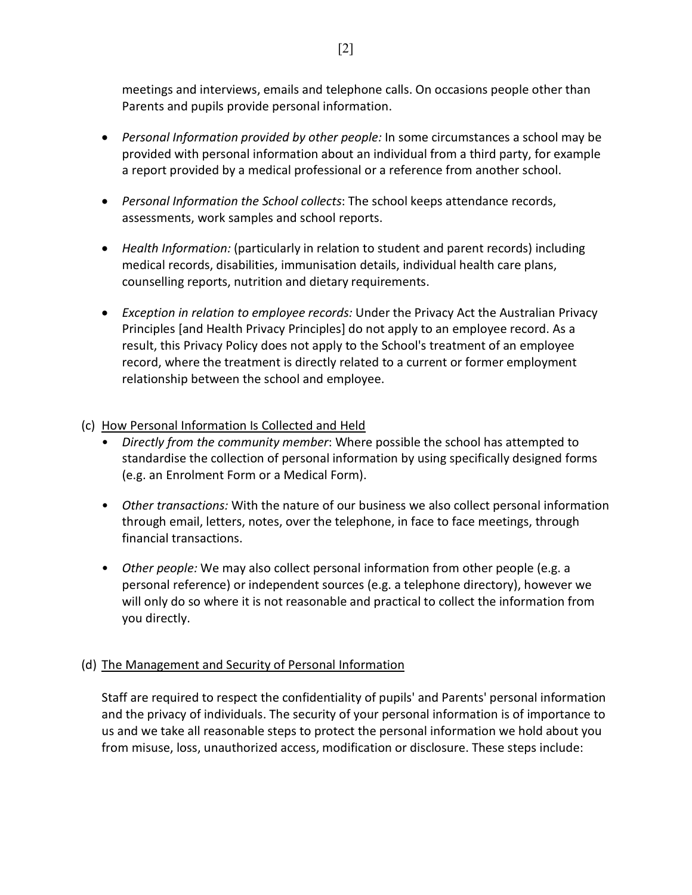meetings and interviews, emails and telephone calls. On occasions people other than Parents and pupils provide personal information.

- *Personal Information provided by other people:* In some circumstances a school may be provided with personal information about an individual from a third party, for example a report provided by a medical professional or a reference from another school.
- *Personal Information the School collects*: The school keeps attendance records, assessments, work samples and school reports.
- *Health Information:* (particularly in relation to student and parent records) including medical records, disabilities, immunisation details, individual health care plans, counselling reports, nutrition and dietary requirements.
- *Exception in relation to employee records:* Under the Privacy Act the Australian Privacy Principles [and Health Privacy Principles] do not apply to an employee record. As a result, this Privacy Policy does not apply to the School's treatment of an employee record, where the treatment is directly related to a current or former employment relationship between the school and employee.

## (c) How Personal Information Is Collected and Held

- *Directly from the community member*: Where possible the school has attempted to standardise the collection of personal information by using specifically designed forms (e.g. an Enrolment Form or a Medical Form).
- *Other transactions:* With the nature of our business we also collect personal information through email, letters, notes, over the telephone, in face to face meetings, through financial transactions.
- *Other people:* We may also collect personal information from other people (e.g. a personal reference) or independent sources (e.g. a telephone directory), however we will only do so where it is not reasonable and practical to collect the information from you directly.

# (d) The Management and Security of Personal Information

Staff are required to respect the confidentiality of pupils' and Parents' personal information and the privacy of individuals. The security of your personal information is of importance to us and we take all reasonable steps to protect the personal information we hold about you from misuse, loss, unauthorized access, modification or disclosure. These steps include: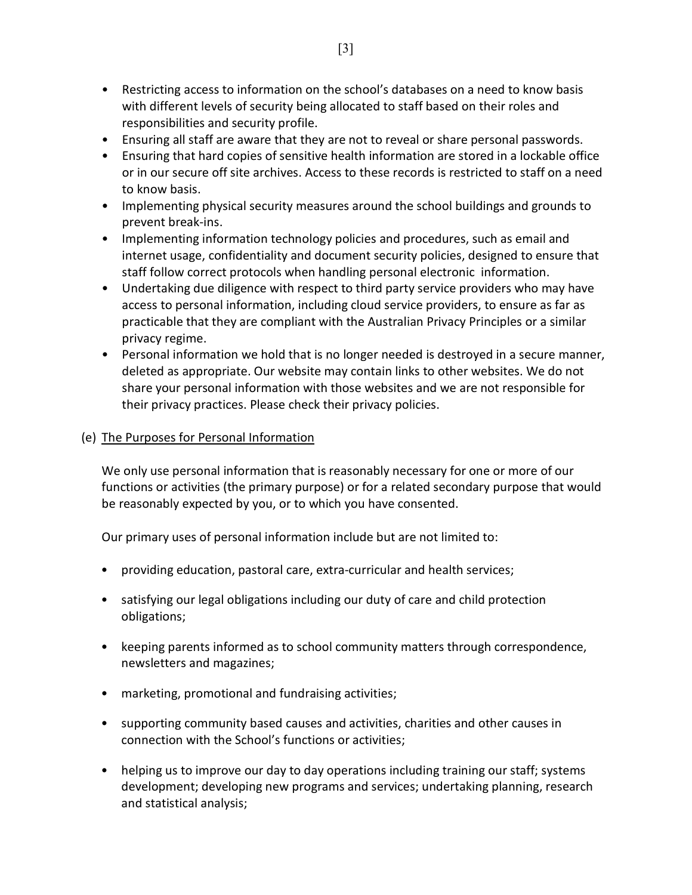- Restricting access to information on the school's databases on a need to know basis with different levels of security being allocated to staff based on their roles and responsibilities and security profile.
- Ensuring all staff are aware that they are not to reveal or share personal passwords.
- Ensuring that hard copies of sensitive health information are stored in a lockable office or in our secure off site archives. Access to these records is restricted to staff on a need to know basis.
- Implementing physical security measures around the school buildings and grounds to prevent break-ins.
- Implementing information technology policies and procedures, such as email and internet usage, confidentiality and document security policies, designed to ensure that staff follow correct protocols when handling personal electronic information.
- Undertaking due diligence with respect to third party service providers who may have access to personal information, including cloud service providers, to ensure as far as practicable that they are compliant with the Australian Privacy Principles or a similar privacy regime.
- Personal information we hold that is no longer needed is destroyed in a secure manner, deleted as appropriate. Our website may contain links to other websites. We do not share your personal information with those websites and we are not responsible for their privacy practices. Please check their privacy policies.

## (e) The Purposes for Personal Information

We only use personal information that is reasonably necessary for one or more of our functions or activities (the primary purpose) or for a related secondary purpose that would be reasonably expected by you, or to which you have consented.

Our primary uses of personal information include but are not limited to:

- providing education, pastoral care, extra-curricular and health services;
- satisfying our legal obligations including our duty of care and child protection obligations;
- keeping parents informed as to school community matters through correspondence, newsletters and magazines;
- marketing, promotional and fundraising activities;
- supporting community based causes and activities, charities and other causes in connection with the School's functions or activities;
- helping us to improve our day to day operations including training our staff; systems development; developing new programs and services; undertaking planning, research and statistical analysis;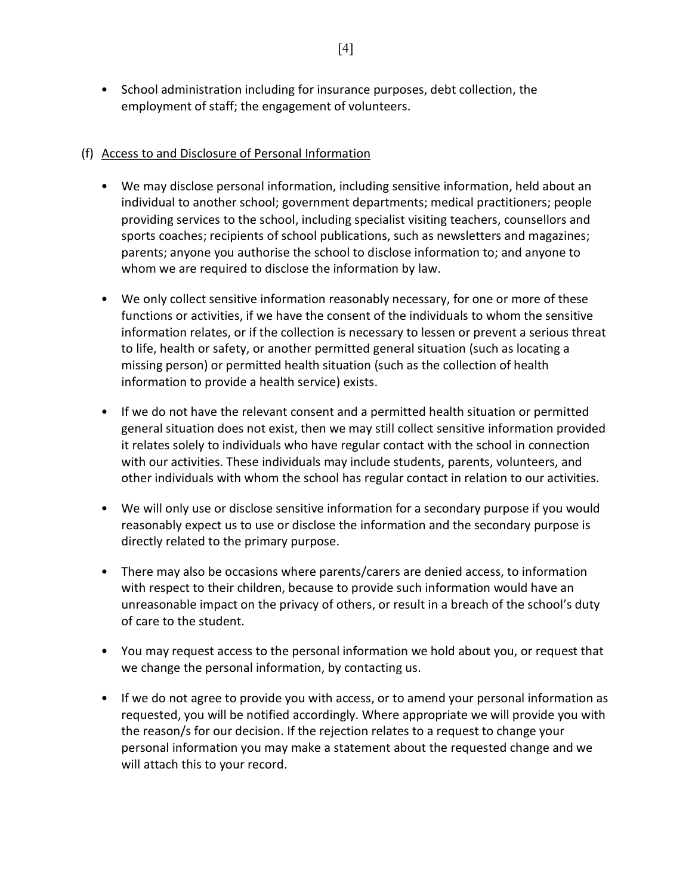• School administration including for insurance purposes, debt collection, the employment of staff; the engagement of volunteers.

## (f) Access to and Disclosure of Personal Information

- We may disclose personal information, including sensitive information, held about an individual to another school; government departments; medical practitioners; people providing services to the school, including specialist visiting teachers, counsellors and sports coaches; recipients of school publications, such as newsletters and magazines; parents; anyone you authorise the school to disclose information to; and anyone to whom we are required to disclose the information by law.
- We only collect sensitive information reasonably necessary, for one or more of these functions or activities, if we have the consent of the individuals to whom the sensitive information relates, or if the collection is necessary to lessen or prevent a serious threat to life, health or safety, or another permitted general situation (such as locating a missing person) or permitted health situation (such as the collection of health information to provide a health service) exists.
- If we do not have the relevant consent and a permitted health situation or permitted general situation does not exist, then we may still collect sensitive information provided it relates solely to individuals who have regular contact with the school in connection with our activities. These individuals may include students, parents, volunteers, and other individuals with whom the school has regular contact in relation to our activities.
- We will only use or disclose sensitive information for a secondary purpose if you would reasonably expect us to use or disclose the information and the secondary purpose is directly related to the primary purpose.
- There may also be occasions where parents/carers are denied access, to information with respect to their children, because to provide such information would have an unreasonable impact on the privacy of others, or result in a breach of the school's duty of care to the student.
- You may request access to the personal information we hold about you, or request that we change the personal information, by contacting us.
- If we do not agree to provide you with access, or to amend your personal information as requested, you will be notified accordingly. Where appropriate we will provide you with the reason/s for our decision. If the rejection relates to a request to change your personal information you may make a statement about the requested change and we will attach this to your record.